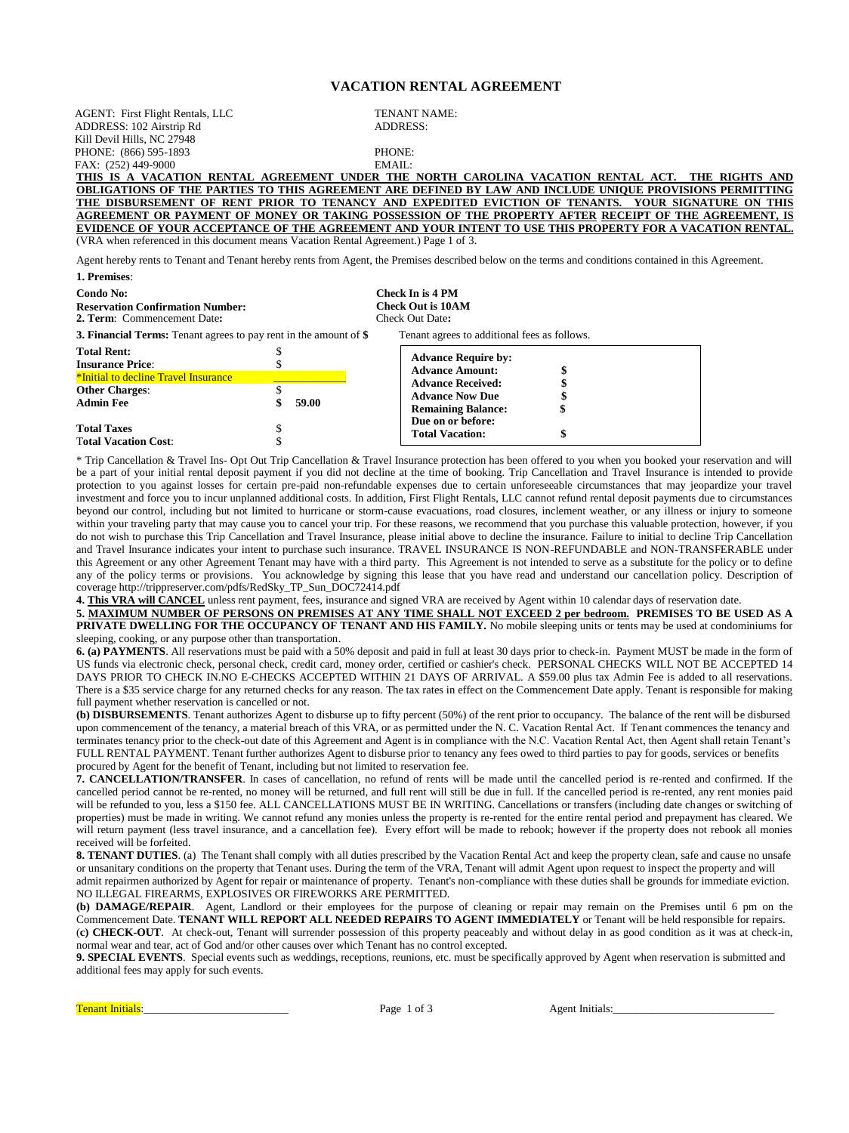## **VACATION RENTAL AGREEMENT**

Agent hereby rents to Tenant and Tenant hereby rents from Agent, the Premises described below on the terms and conditions contained in this Agreement. **1. Premises**: **THIS IS A VACATION RENTAL AGREEMENT UNDER THE NORTH CAROLINA VACATION RENTAL ACT. THE RIGHTS AND OBLIGATIONS OF THE PARTIES TO THIS AGREEMENT ARE DEFINED BY LAW AND INCLUDE UNIQUE PROVISIONS PERMITTING THE DISBURSEMENT OF RENT PRIOR TO TENANCY AND EXPEDITED EVICTION OF TENANTS. YOUR SIGNATURE ON THIS AGREEMENT OR PAYMENT OF MONEY OR TAKING POSSESSION OF THE PROPERTY AFTER RECEIPT OF THE AGREEMENT, IS EVIDENCE OF YOUR ACCEPTANCE OF THE AGREEMENT AND YOUR INTENT TO USE THIS PROPERTY FOR A VACATION RENTAL.** (VRA when referenced in this document means Vacation Rental Agreement.) Page 1 of 3. AGENT: First Flight Rentals, LLC **TENANT NAME:**<br> **ADDRESS:** 102 Airstrin Rd<br> **ADDRESS:** ADDRESS: 102 Airstrip Rd Kill Devil Hills, NC 27948 PHONE: (866) 595-1893 PHONE: FAX: (252) 449-9000

| Condo No:<br><b>Reservation Confirmation Number:</b><br>2. Term: Commencement Date:   |       | Check In is 4 PM<br><b>Check Out is 10AM</b><br>Check Out Date:                                                                         |
|---------------------------------------------------------------------------------------|-------|-----------------------------------------------------------------------------------------------------------------------------------------|
| <b>3. Financial Terms:</b> Tenant agrees to pay rent in the amount of \$              |       | Tenant agrees to additional fees as follows.                                                                                            |
| <b>Total Rent:</b><br><b>Insurance Price:</b><br>*Initial to decline Travel Insurance |       | <b>Advance Require by:</b><br><b>Advance Amount:</b><br><b>Advance Received:</b><br><b>Advance Now Due</b><br><b>Remaining Balance:</b> |
| <b>Other Charges:</b><br><b>Admin Fee</b>                                             | 59.00 |                                                                                                                                         |
| <b>Total Taxes</b><br><b>Total Vacation Cost:</b>                                     |       | Due on or before:<br><b>Total Vacation:</b>                                                                                             |

\* Trip Cancellation & Travel Ins- Opt Out Trip Cancellation & Travel Insurance protection has been offered to you when you booked your reservation and will be a part of your initial rental deposit payment if you did not decline at the time of booking. Trip Cancellation and Travel Insurance is intended to provide protection to you against losses for certain pre-paid non-refundable expenses due to certain unforeseeable circumstances that may jeopardize your travel investment and force you to incur unplanned additional costs. In addition, First Flight Rentals, LLC cannot refund rental deposit payments due to circumstances beyond our control, including but not limited to hurricane or storm-cause evacuations, road closures, inclement weather, or any illness or injury to someone within your traveling party that may cause you to cancel your trip. For these reasons, we recommend that you purchase this valuable protection, however, if you do not wish to purchase this Trip Cancellation and Travel Insurance, please initial above to decline the insurance. Failure to initial to decline Trip Cancellation and Travel Insurance indicates your intent to purchase such insurance. TRAVEL INSURANCE IS NON-REFUNDABLE and NON-TRANSFERABLE under this Agreement or any other Agreement Tenant may have with a third party. This Agreement is not intended to serve as a substitute for the policy or to define any of the policy terms or provisions. You acknowledge by signing this lease that you have read and understand our cancellation policy. Description of coverage http://trippreserver.com/pdfs/RedSky\_TP\_Sun\_DOC72414.pdf

**4. This VRA will CANCEL** unless rent payment, fees, insurance and signed VRA are received by Agent within 10 calendar days of reservation date.

5. MAXIMUM NUMBER OF PERSONS ON PREMISES AT ANY TIME SHALL NOT EXCEED 2 per bedroom. PREMISES TO BE USED AS A PRIVATE DWELLING FOR THE OCCUPANCY OF TENANT AND HIS FAMILY. No mobile sleeping units or tents may be used at condominiums for sleeping, cooking, or any purpose other than transportation.

**6. (a) PAYMENTS**. All reservations must be paid with a 50% deposit and paid in full at least 30 days prior to check-in. Payment MUST be made in the form of US funds via electronic check, personal check, credit card, money order, certified or cashier's check. PERSONAL CHECKS WILL NOT BE ACCEPTED 14 DAYS PRIOR TO CHECK IN.NO E-CHECKS ACCEPTED WITHIN 21 DAYS OF ARRIVAL. A \$59.00 plus tax Admin Fee is added to all reservations. There is a \$35 service charge for any returned checks for any reason. The tax rates in effect on the Commencement Date apply. Tenant is responsible for making full payment whether reservation is cancelled or not.

**(b) DISBURSEMENTS**. Tenant authorizes Agent to disburse up to fifty percent (50%) of the rent prior to occupancy. The balance of the rent will be disbursed upon commencement of the tenancy, a material breach of this VRA, or as permitted under the N. C. Vacation Rental Act. If Tenant commences the tenancy and terminates tenancy prior to the check-out date of this Agreement and Agent is in compliance with the N.C. Vacation Rental Act, then Agent shall retain Tenant's FULL RENTAL PAYMENT. Tenant further authorizes Agent to disburse prior to tenancy any fees owed to third parties to pay for goods, services or benefits procured by Agent for the benefit of Tenant, including but not limited to reservation fee.

**7. CANCELLATION/TRANSFER**. In cases of cancellation, no refund of rents will be made until the cancelled period is re-rented and confirmed. If the cancelled period cannot be re-rented, no money will be returned, and full rent will still be due in full. If the cancelled period is re-rented, any rent monies paid will be refunded to you, less a \$150 fee. ALL CANCELLATIONS MUST BE IN WRITING. Cancellations or transfers (including date changes or switching of properties) must be made in writing. We cannot refund any monies unless the property is re-rented for the entire rental period and prepayment has cleared. We will return payment (less travel insurance, and a cancellation fee). Every effort will be made to rebook; however if the property does not rebook all monies received will be forfeited.

8. TENANT DUTIES. (a) The Tenant shall comply with all duties prescribed by the Vacation Rental Act and keep the property clean, safe and cause no unsafe or unsanitary conditions on the property that Tenant uses. During the term of the VRA, Tenant will admit Agent upon request to inspect the property and will admit repairmen authorized by Agent for repair or maintenance of property. Tenant's non-compliance with these duties shall be grounds for immediate eviction. NO ILLEGAL FIREARMS, EXPLOSIVES OR FIREWORKS ARE PERMITTED.

**(b) DAMAGE/REPAIR**. Agent, Landlord or their employees for the purpose of cleaning or repair may remain on the Premises until 6 pm on the Commencement Date. **TENANT WILL REPORT ALL NEEDED REPAIRS TO AGENT IMMEDIATELY** or Tenant will be held responsible for repairs. (**c) CHECK-OUT**. At check-out, Tenant will surrender possession of this property peaceably and without delay in as good condition as it was at check-in, normal wear and tear, act of God and/or other causes over which Tenant has no control excepted.

**9. SPECIAL EVENTS**. Special events such as weddings, receptions, reunions, etc. must be specifically approved by Agent when reservation is submitted and additional fees may apply for such events.

Tenant Initials:\_\_\_\_\_\_\_\_\_\_\_\_\_\_\_\_\_\_\_\_\_\_\_\_\_\_ Page 1 of 3 Agent Initials:\_\_\_\_\_\_\_\_\_\_\_\_\_\_\_\_\_\_\_\_\_\_\_\_\_\_\_\_\_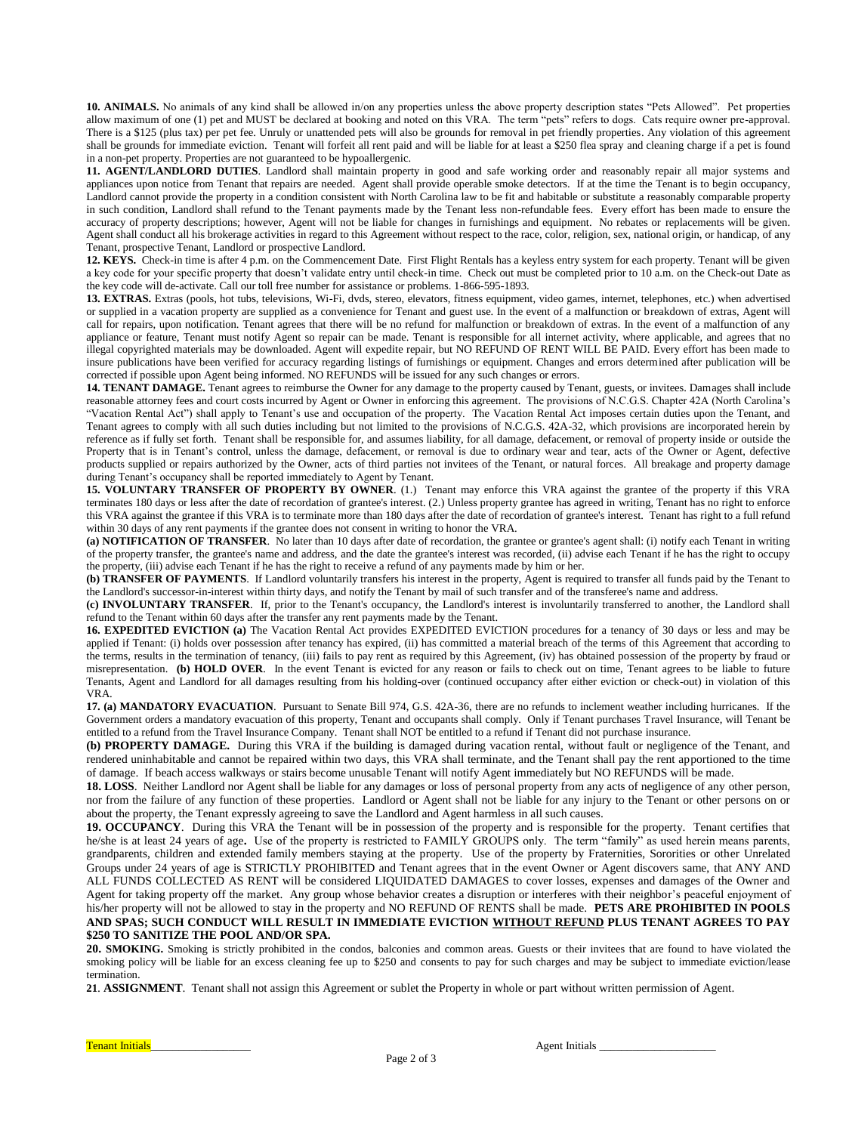**10. ANIMALS.** No animals of any kind shall be allowed in/on any properties unless the above property description states "Pets Allowed". Pet properties allow maximum of one (1) pet and MUST be declared at booking and noted on this VRA. The term "pets" refers to dogs. Cats require owner pre-approval. There is a \$125 (plus tax) per pet fee. Unruly or unattended pets will also be grounds for removal in pet friendly properties. Any violation of this agreement shall be grounds for immediate eviction. Tenant will forfeit all rent paid and will be liable for at least a \$250 flea spray and cleaning charge if a pet is found in a non-pet property. Properties are not guaranteed to be hypoallergenic.

**11. AGENT/LANDLORD DUTIES**. Landlord shall maintain property in good and safe working order and reasonably repair all major systems and appliances upon notice from Tenant that repairs are needed. Agent shall provide operable smoke detectors. If at the time the Tenant is to begin occupancy, Landlord cannot provide the property in a condition consistent with North Carolina law to be fit and habitable or substitute a reasonably comparable property in such condition, Landlord shall refund to the Tenant payments made by the Tenant less non-refundable fees. Every effort has been made to ensure the accuracy of property descriptions; however, Agent will not be liable for changes in furnishings and equipment. No rebates or replacements will be given. Agent shall conduct all his brokerage activities in regard to this Agreement without respect to the race, color, religion, sex, national origin, or handicap, of any Tenant, prospective Tenant, Landlord or prospective Landlord.

**12. KEYS.** Check-in time is after 4 p.m. on the Commencement Date. First Flight Rentals has a keyless entry system for each property. Tenant will be given a key code for your specific property that doesn't validate entry until check-in time. Check out must be completed prior to 10 a.m. on the Check-out Date as the key code will de-activate. Call our toll free number for assistance or problems. 1-866-595-1893.

**13. EXTRAS.** Extras (pools, hot tubs, televisions, Wi-Fi, dvds, stereo, elevators, fitness equipment, video games, internet, telephones, etc.) when advertised or supplied in a vacation property are supplied as a convenience for Tenant and guest use. In the event of a malfunction or breakdown of extras, Agent will call for repairs, upon notification. Tenant agrees that there will be no refund for malfunction or breakdown of extras. In the event of a malfunction of any appliance or feature, Tenant must notify Agent so repair can be made. Tenant is responsible for all internet activity, where applicable, and agrees that no illegal copyrighted materials may be downloaded. Agent will expedite repair, but NO REFUND OF RENT WILL BE PAID. Every effort has been made to insure publications have been verified for accuracy regarding listings of furnishings or equipment. Changes and errors determined after publication will be corrected if possible upon Agent being informed. NO REFUNDS will be issued for any such changes or errors.

**14. TENANT DAMAGE.** Tenant agrees to reimburse the Owner for any damage to the property caused by Tenant, guests, or invitees. Damages shall include reasonable attorney fees and court costs incurred by Agent or Owner in enforcing this agreement. The provisions of N.C.G.S. Chapter 42A (North Carolina's "Vacation Rental Act") shall apply to Tenant's use and occupation of the property. The Vacation Rental Act imposes certain duties upon the Tenant, and Tenant agrees to comply with all such duties including but not limited to the provisions of N.C.G.S. 42A-32, which provisions are incorporated herein by reference as if fully set forth. Tenant shall be responsible for, and assumes liability, for all damage, defacement, or removal of property inside or outside the Property that is in Tenant's control, unless the damage, defacement, or removal is due to ordinary wear and tear, acts of the Owner or Agent, defective products supplied or repairs authorized by the Owner, acts of third parties not invitees of the Tenant, or natural forces. All breakage and property damage during Tenant's occupancy shall be reported immediately to Agent by Tenant.

**15. VOLUNTARY TRANSFER OF PROPERTY BY OWNER**. (1.) Tenant may enforce this VRA against the grantee of the property if this VRA terminates 180 days or less after the date of recordation of grantee's interest. (2.) Unless property grantee has agreed in writing, Tenant has no right to enforce this VRA against the grantee if this VRA is to terminate more than 180 days after the date of recordation of grantee's interest. Tenant has right to a full refund within 30 days of any rent payments if the grantee does not consent in writing to honor the VRA.

**(a) NOTIFICATION OF TRANSFER**. No later than 10 days after date of recordation, the grantee or grantee's agent shall: (i) notify each Tenant in writing of the property transfer, the grantee's name and address, and the date the grantee's interest was recorded, (ii) advise each Tenant if he has the right to occupy the property, (iii) advise each Tenant if he has the right to receive a refund of any payments made by him or her.

**(b) TRANSFER OF PAYMENTS**. If Landlord voluntarily transfers his interest in the property, Agent is required to transfer all funds paid by the Tenant to the Landlord's successor-in-interest within thirty days, and notify the Tenant by mail of such transfer and of the transferee's name and address.

**(c) INVOLUNTARY TRANSFER**. If, prior to the Tenant's occupancy, the Landlord's interest is involuntarily transferred to another, the Landlord shall refund to the Tenant within 60 days after the transfer any rent payments made by the Tenant.

**16. EXPEDITED EVICTION (a)** The Vacation Rental Act provides EXPEDITED EVICTION procedures for a tenancy of 30 days or less and may be applied if Tenant: (i) holds over possession after tenancy has expired, (ii) has committed a material breach of the terms of this Agreement that according to the terms, results in the termination of tenancy, (iii) fails to pay rent as required by this Agreement, (iv) has obtained possession of the property by fraud or misrepresentation. **(b) HOLD OVER**. In the event Tenant is evicted for any reason or fails to check out on time, Tenant agrees to be liable to future Tenants, Agent and Landlord for all damages resulting from his holding-over (continued occupancy after either eviction or check-out) in violation of this VRA.

**17. (a) MANDATORY EVACUATION**. Pursuant to Senate Bill 974, G.S. 42A-36, there are no refunds to inclement weather including hurricanes. If the Government orders a mandatory evacuation of this property, Tenant and occupants shall comply. Only if Tenant purchases Travel Insurance, will Tenant be entitled to a refund from the Travel Insurance Company. Tenant shall NOT be entitled to a refund if Tenant did not purchase insurance.

**(b) PROPERTY DAMAGE.** During this VRA if the building is damaged during vacation rental, without fault or negligence of the Tenant, and rendered uninhabitable and cannot be repaired within two days, this VRA shall terminate, and the Tenant shall pay the rent apportioned to the time of damage. If beach access walkways or stairs become unusable Tenant will notify Agent immediately but NO REFUNDS will be made.

**18. LOSS**. Neither Landlord nor Agent shall be liable for any damages or loss of personal property from any acts of negligence of any other person, nor from the failure of any function of these properties. Landlord or Agent shall not be liable for any injury to the Tenant or other persons on or about the property, the Tenant expressly agreeing to save the Landlord and Agent harmless in all such causes.

**19. OCCUPANCY**. During this VRA the Tenant will be in possession of the property and is responsible for the property. Tenant certifies that he/she is at least 24 years of age**.** Use of the property is restricted to FAMILY GROUPS only. The term "family" as used herein means parents, grandparents, children and extended family members staying at the property. Use of the property by Fraternities, Sororities or other Unrelated Groups under 24 years of age is STRICTLY PROHIBITED and Tenant agrees that in the event Owner or Agent discovers same, that ANY AND ALL FUNDS COLLECTED AS RENT will be considered LIQUIDATED DAMAGES to cover losses, expenses and damages of the Owner and Agent for taking property off the market. Any group whose behavior creates a disruption or interferes with their neighbor's peaceful enjoyment of his/her property will not be allowed to stay in the property and NO REFUND OF RENTS shall be made. **PETS ARE PROHIBITED IN POOLS AND SPAS; SUCH CONDUCT WILL RESULT IN IMMEDIATE EVICTION WITHOUT REFUND PLUS TENANT AGREES TO PAY \$250 TO SANITIZE THE POOL AND/OR SPA.** 

**20. SMOKING.** Smoking is strictly prohibited in the condos, balconies and common areas. Guests or their invitees that are found to have violated the smoking policy will be liable for an excess cleaning fee up to \$250 and consents to pay for such charges and may be subject to immediate eviction/lease termination.

**21**. **ASSIGNMENT**. Tenant shall not assign this Agreement or sublet the Property in whole or part without written permission of Agent.

Tenant Initials\_\_\_\_\_\_\_\_\_\_\_\_\_\_\_\_\_\_ Agent Initials \_\_\_\_\_\_\_\_\_\_\_\_\_\_\_\_\_\_\_\_\_